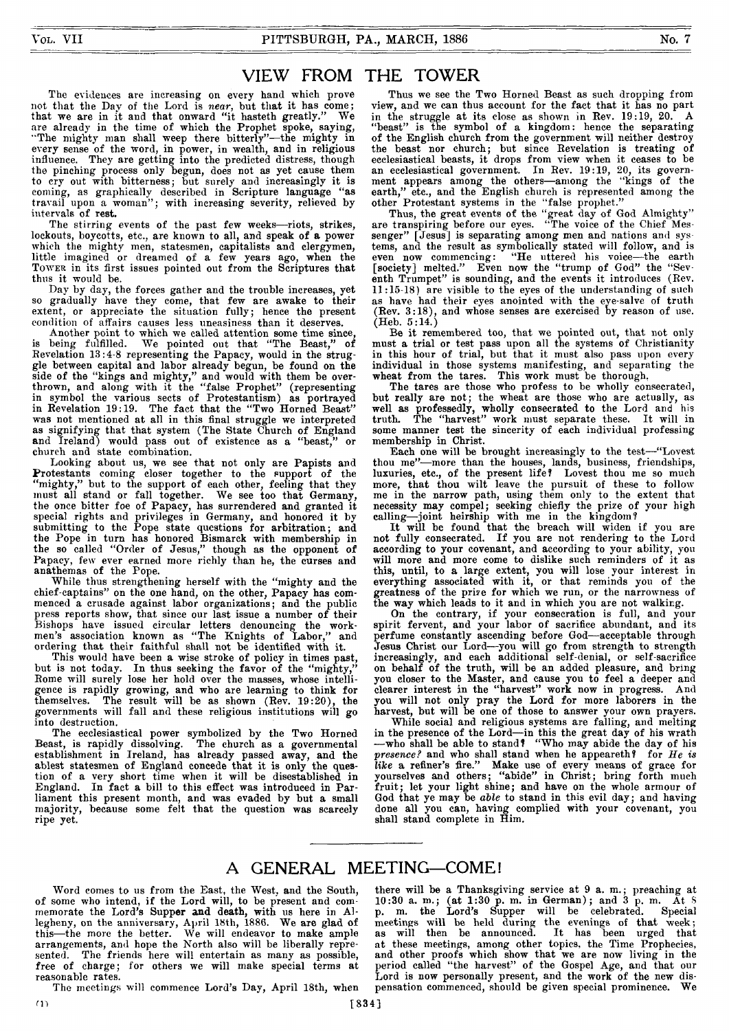### VIEW FROM THE TOWER

**The evidences are increasing on every hand which prove not that the Day of the Lord is** *near,* **but that it has come; that we are in it and that onward "it hasteth greatly." We are already in the time of which the Prophet spoke, saying, "The mighty man shall weep there bitterly"—the mighty in every sense of the word, in power, in wealth, and in religious influence. They are getting into the predicted distress, though the pinching process only begun, does not as yet cause them to cry out with bitterness; but surely and increasingly it is coming, as graphically described in Scripture language "as travail upon a woman" ; with increasing severity, relieved by intervals of rest.**

**The stirring events of the past few weeks—riots, strikes, lockouts, boycotts, etc., are known to all, and speak of a power which tlie mighty men, statesmen, capitalists and clergymen, little imagined or dreamed of a few years ago, when the Tower in its first issues pointed out from the Scriptures that thus it would be.**

**Day by day, the forces gather and the trouble increases, yet so gradually have they come, that few are awake to their extent, or appreciate the situation fully; hence the present condition of affairs causes less uneasiness than it deserves.**

**Another point to which we called attention some time since, is being fulfilled. We pointed out that "The Beast," of Revelation 13:4-8 representing the Papacy, would in the struggle between capital and labor already begun, be found on the side of the "kings and mighty," and would with them be overthrown, and along with it the "false Prophet" (representing in symbol the various sects of Protestantism) as portrayed in Revelation 19:19. The fact that the "Two Horned Beast" was not mentioned at all in this final struggle we interpreted as signifying that that system (The State Church of England and Ireland) would pass out of existence as a "beast," or church and state combination.**

**Looking about us, we see that not only are Papists and Protestants coming closer together to the support of the "mighty," but to the support of each other, feeling that they must all stand or fall together. We see too that Germany, the once bitter foe of Papacy, has surrendered and granted it special rights and privileges in Germany, and honored it by submitting to the Pope state questions for arbitration; and the Pope in turn has honored Bismarck with membership in the so called "Order of Jesus," though as the opponent of Papacy, few ever earned more richly than he, the curses and anathemas of the Pope.**

**While thus strengthening herself with the "mighty and the chief-captains" on the one hand, on the other, Papacy has commenced a crusade against labor organizations; and the public press reports show, that since our last issue a number of their Bishops have issued circular letters denouncing the workmen's association known as "The Knights of Labor," and ordering that their faithful shall not be identified with it.**

**This would have been a wise stroke of policy in times past,** but is not today. In thus seeking the favor of the "mighty, Rome will surely lose her hold over the masses, whose intelli**gence is rapidly growing, and who are learning to think for themselves. The result will be as shown (Rev. 19:20), the governments will fall and these religious institutions will go into destruction.**

**The ecclesiastical power symbolized by the Two Horned Beast, is rapidly dissolving. The church as a governmental establishment in Ireland, has already passed away, and the ablest statesmen of England concede that it is only the question of a very short time when it will be disestablished in England. In fact a bill to this effect was introduced in Parliament this present month, and was evaded by but a small majority, because some felt that the question was scarcely ripe yet.**

**Thus we see the Two Horned Beast as such dropping from view, and we can thus account for the fact that it has no part in the struggle at its close as shown in Rev. 19:19, 20. A "beast" is the symbol of a kingdom: hence the separating of the English church from the government will neither destroy the beast nor church; but since Revelation is treating of ecclesiastical beasts, it drops from view when it ceases to be an ecclesiastical government. In Rev. 19:19, 20, its government appears among the others—among the "kings of the earth," etc., and the English church is represented among the other Protestant systems in the "false prophet."**

**Thus, the great events of the "great day of God Almighty" are transpiring before our eyes. "The voice of the Chief Messenger" [Jesus] is separating among men and nations and systems, and the result as symbolically stated will follow, and is even now commencing: "He uttered his voice—the earth [society] melted." Even now the "trump of God" the "Sev**enth Trumpet" is sounding, and the events it introduces (Rev. **11:15-18) are visible to the eyes of the understanding of such as have had their eyes anointed with the eye-salve of truth (Rev. 3:18), and whose senses are exercised by reason of use. (Heb. 5:14.)**

**Be it remembered too, that we pointed out, that not only must a trial or test pass upon all the systems of Christianity in this hour of trial, but that it must also pass upon every individual in those systems manifesting, and separating the wheat from the tares. This work must be thorough,**

**The tares are those who profess to be wholly consecrated, but really are not; the wheat are those who are actually, as well as professedly, wholly consecrated to the Lord and his truth. The "harvest" work must separate these. It will in some manner test the sincerity of each individual professing membership in Christ.**

**Each one will be brought increasingly to the test—"Lovest thou me"—more than the houses, lands, business, friendships, luxuries, etc., of the present life? Lovest thou me so much more, that thou wilt leave the pursuit of these to follow me in the narrow path, using them only to the extent that necessity may compel; seeking chiefly the prize of your high calling—joint heirship with me in the kingdom?**

**It will be found that the breach will widen if you are** not fully consecrated. If you are not rendering to the Lord **according to your covenant, and according to your ability, you will more and more come to dislike such reminders of it as this, until, to a large extent, you will lose your interest in everything associated with it, or that reminds you of the greatness of the prize for which we run, or the narrowness of the way which leads to it and in which you are not walking.**

**On the contrary, if your consecration is full, and your spirit fervent, and your labor of sacrifice abundant, and its perfume constantly ascending before God—acceptable through Jesus Christ our Lord—you will go from strength to strength increasingly, and each additional self-denial, or self-sacrifice on behalf of the truth, will be an added pleasure, and bring you closer to the Master, and cause you to feel a deeper and clearer interest in the "harvest" work now in progress. And you will not only pray the Lord for more laborers in the harvest, but will be one of those to answer your own prayers.**

**While social and religious systems are falling, and melting in the presence of the Lord—in this the great day of his wrath —who shall be able to stand? "Who may abide the day of his** *presence?* **and who shall stand when he appeareth? for** *He is like* **a refiner's fire." Make use of every means of grace for yourselves and others; "abide" in Christ; bring forth much fruit; let your light shine; and have on the whole armour of God that ye may be** *able* **to stand in this evil day; and having done all you can, having complied with your covenant, you shall stand complete in Him.**

## A GENERAL MEETING—COME!

**Word comes to us from the East, the West, and the South, of some who intend, if the Lord will, to be present and commemorate the Lord's Supper and death, with us here in Allegheny, on the anniversary, April 18th, 1886. We are glad of this—the more the better. We will endeavor to make ample arrangements, and hope the North also will be liberally represented. The friends here will entertain as many as possible, free of charge; for others we will make special terms at reasonable rates.**

**The meetings will commence Lord's Day, April 18th, when**

**there will be a Thanksgiving service at 9 a. m .; preaching at 10:30 a. m.; (at 1:30 p. m. in German); and 3 p. m. At S p. m. the Lord's Supper will be celebrated. Special meetings will be held during the evenings of that week; as will then be announced. It has been urged that at these meetings, among other topics, the Time Prophecies, and other proofs which show that we are now living in the period called "the harvest" of the Gospel Age, and that our** Lord is now personally present, and the work of the new dis-<br>pensation commenced, should be given special prominence. We **pensation commenced, should be given special prominence. We**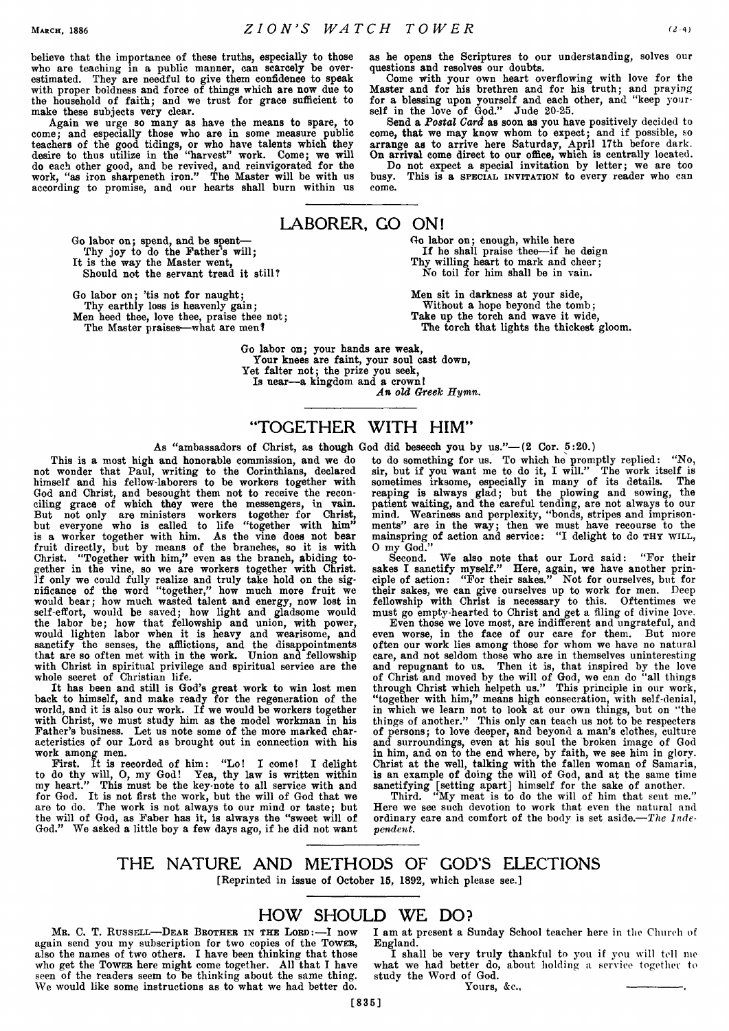**believe that the importance of these truths, especially to those who are teaching in a public manner, can scarcely be overestimated. They are needful to give them confidence to speak with proper boldness and force of things which are now due to the household of faith; and we trust for grace sufficient to make these subjects very clear.**

**Again we urge so many as have the means to spare, to come; and especially those who are in some measure public teachers of the good tidings, or who have talents which they desire to thus utilize in the "harvest" work. Come; we will do each other good, and be revived, and reinvigorated for the work, "as iron sharpeneth iron." The Master will be with us according to promise, and our hearts shall burn within us**

> **Go labor on; spend, and be spent— Thy joy to do the Father's will;**

**It is the way the Master went, Should not the servant tread it still?**

**Go labor on; 'tis not for naught;**

**Thy earthly loss is heavenly gain; Men heed thee, love thee, praise thee not;**

**The Master praises—what are men?**

**as he opens the Scriptures to our understanding, solves our questions and resolves our doubts.**

**Come with your own heart overflowing with love for the Master and for his brethren and for his truth; and praying for a blessing upon yourself and each other, and "keep yourself in the love of God." Jude 20-25.**

**Send a** *Postal Card* **as soon as you have positively decided to come, that we may know whom to expect; and if possible, so arrange as to arrive here Saturday, April 17th before dark. On arrival come direct to our office, which is centrally located.**

**Do not expect a special invitation by letter; we are too busy. This is a special invitation to every reader who can come.**

# LABORER. GO ON!

**Go labor on; enough, while here** If he shall praise thee—if he deign **Thy willing heart to mark and cheer; No toil for him shall be in vain.**

**Men sit in darkness at your side, Without a hope beyond the tomb; Take up the torch and wave it wide, The torch that lights the thickest gloom.**

**Go labor on; your hands are weak, Your knees are faint, your soul cast down, Yet falter not; the prize you seek,**

**Is near—a kingdom and a crown!**

An old Greek Hymn.

# "TOGETHER WITH HIM"

**As "ambassadors of Christ, as though God did beseech you by us."— (2 Cor. 5:20.)**

**This is a most high and honorable commission, and we do not wonder that Paul, writing to the Corinthians, declared himself and his fellow-laborers to be workers together with** God and Christ, and besought them not to receive the recon**ciling grace of which they were the messengers, in vain. But not only are ministers workers together for Christ, but everyone who is called to life "together with him" is a worker together with him. As the vine does not bear fruit directly, but by means of the branches, so it is with Christ. "Together with him," even as the branch, abiding together in the vine, so we are workers together with Christ. If only we could fully realize and truly take hold on the significance of the word "together," how much more fruit we would bear; how much wasted talent and energy, now lost in self-effort, would be saved; how light and gladsome would the labor be; how that fellowship and union, with power, would lighten labor when it is heavy and wearisome, and sanctify the senses, the afflictions, and the disappointments that are so often met with in the work. Union and fellowship with Christ in spiritual privilege and spiritual service are the whole secret of Christian life.**

**It has been and still is God's great work to win lost men back to himself, and make ready for the regeneration of the** world, and it is also our work. If we would be workers together **with Christ, we must study him as the model workman in his Father's business. Let us note some of the more marked characteristics of our Lord as brought out in connection with his work among men.**

**First. It is recorded of him: "Lo! I come! I delight** to do thy will, O, my God! Yea, thy law is written within **my heart." This must be the key-note to all service with and for God. It is not first the work, but the will of God that we are to do. The work is not always to our mind or taste; but the will of God, as Faber has it, is always the "sweet will of God." We asked a little boy a few days ago, if he did not want** **to do something for us. To which he promptly replied: "No, sir, but if you want me to do it, I will." The work itself is sometimes irksome, especially in many of its details. The reaping is always glad; but the plowing and sowing, the patient waiting, and the careful tending, are not always to our mind. Weariness and perplexity, "bonds, stripes and imprisonments" are in the way; then we must have recourse to the**  $max$  mainspring of action and service: "I delight to do  $min$  with, **0 my God."**

**Second. We also note that our Lord said: "For their sakes I sanctify myself." Here, again, we have another principle of action: "For their sakes." Not for ourselves, but for their sakes, we can give ourselves up to work for men. Deep fellowship with Christ is necessary to this. Oftentimes we must go empty-hearted to Christ and get a filing of divine love.**

**Even those we love most, are indifferent and ungrateful, and even worse, in the face of our care for them. But more often our work lies among those for whom we have no natural care, and not seldom those who are in themselves uninteresting and repugnant to us. Then it is, that inspired by the love of Christ and moved by the will of God, we can do "all things through Christ which helpeth us." This principle in our work, "together with him," means high consecration, with self-denial, in which we learn not to look at our own things, but on "the things of another." This only can teach us not to be respecters of persons; to love deeper, and beyond a man's clothes, culture and surroundings, even at his soul the broken image of God in him, and on to the end where, by faith, we see him in glory. Christ at the well, talking with the fallen woman of Samaria, is an example of doing the will of God, and at the same time sanctifying [setting apart] himself for the sake of another.**

**Third. "My meat is to do the will of him that sent me." Here we see such devotion to work that even the natural and ordinary care and comfort of the body is set aside***.—The Independent.*

### THE NATURE AND METHODS OF GOD'S ELECTIONS **[Reprinted in issue of October 15, 1892, which please see.]**

### HOW SHOULD WE DO?

**[835]**

**Mb. C. T. Russell— D ear Brother in the Lord:—I now again send you my subscription for two copies of the Tower, also the names of two others. I have been thinking that those who get the Tower here might come together. All that I have seen of the readers seem to be thinking about the same thing. We would like some instructions as to what we had better do.**

**I am at present a Sunday School teacher here in the Church of England.**

**I shall be very truly thankful to you if you will toll me what we had better do, about holding a service together to study the Word of God.**

Yours, &c.,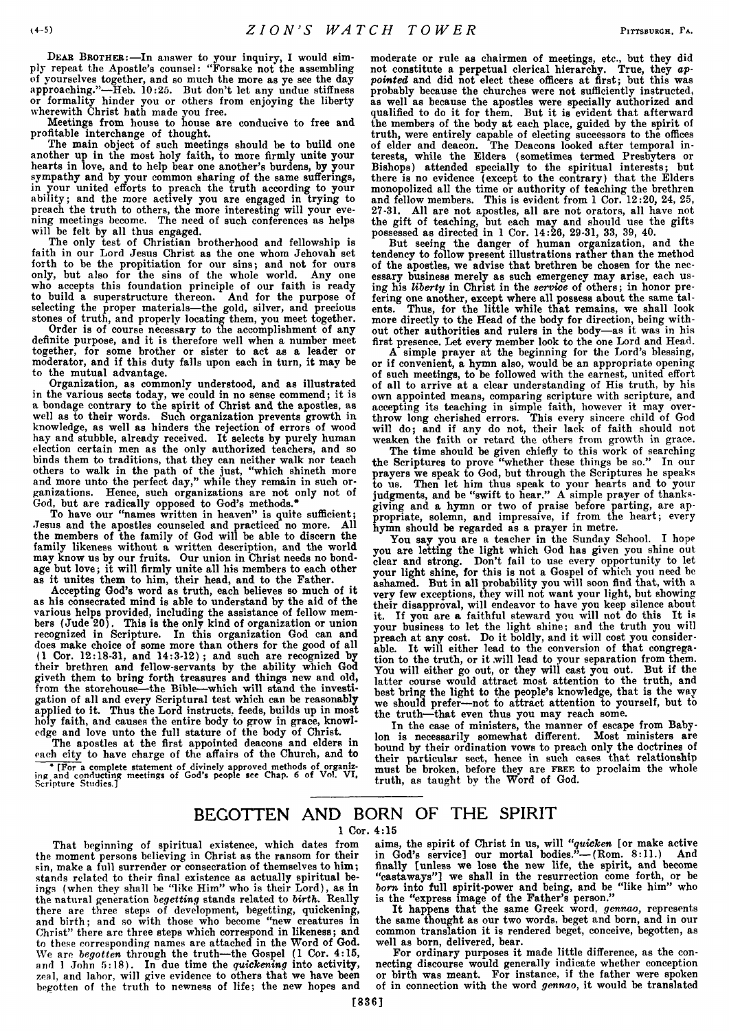**Dear Brother:—In answer to your inquiry, I would simply repeat the Apostle's counsel: "Forsake not the assembling of yourselves together, and so much the more as ye see the day approaching."—Heb. 10:25. But don't let any undue stiffness or formality hinder you or others from enjoying the liberty wherewith Christ hath made you free.**

**Meetings from house to house are conducive to free and profitable interchange of thought.**

**The main object of such meetings should be to build one another up in the most holy faith, to more firmly unite your hearts in love, and to help bear one another's burdens, by your sympathy and by your common sharing of the same sufferings, in your united efforts to preach the truth according to your ability; and the more actively you are engaged in trying to preach the truth to others, the more interesting will your evening meetings become. The need of such conferences as helps will be felt by all thus engaged.**

**The only test of Christian brotherhood and fellowship is faith in our Lord Jesus Christ as the one whom Jehovah set forth to be the propitiation for our sins; and not for ours only, but also for the sins of the whole world. Any one who accepts this foundation principle of our faith is ready to build a superstructure thereon. And for the purpose of selecting the proper materials—the gold, silver, and precious stones of truth, and properly locating them, you meet together.**

**Order is of course necessary to the accomplishment of any definite purpose, and it is therefore well when a number meet together, for some brother or sister to act as a leader or moderator, and if this duty falls upon each in turn, it may be to the mutual advantage.**

**Organization, as commonly understood, and as illustrated in the various sects today, we could in no sense commend; it is a bondage contrary to the spirit of Christ and the apostles, as well as to their words. Such organization prevents growth in knowledge, as well as hinders the rejection of errors of wood hay and stubble, already received. It selects by purely human election certain men as the only authorized teachers, and so binds them to traditions, that they can neither walk nor teach others to walk in the path of the just, "which shineth more and more unto the perfect day," while they remain in such organizations. Hence, such organizations are not only not of God, but are radically opposed to God's methods.\***

**To have our "names written in heaven" is quite sufficient; Jesus and the apostles counseled and practiced no more. All the members of the family of God will be able to discern the family likeness without a written description, and the world may know us by our fruits. Our union in Christ needs no bondage but love; it will firmly unite all his members to each other as it unites them to him, their head, and to the Father.**

**Accepting God's word as truth, each believes so much of it as his consecrated mind is able to understand by the aid of the various helps provided, including the assistance of fellow members (Jude 20). This is the only kind of organization or union recognized in Scripture. In this organization God can and does make choice of some more than others for the good of all (1 Cor. 12:18-31, and 14:3-12) ; and such are recognized by their brethren and fellow-servants by the ability which Goa giveth them to bring forth treasures and things new and old, from the storehouse—the Bible—which will stand the investigation of all and every Scriptural test which can be reasonably applied to it. Thus the Lord instructs, feeds, builds up in most holy faith, and causes the entire body to grow in grace, knowledge and love unto the full stature of the body of Christ.**

**The apostles at the first appointed deacons and elders in each city to have charge of the affairs of the Church, and to \* [For a complete statement of divinely approved methods of organiz-ing and conducting meetings of God's people see Chap. 6 of Vol. VI, Scripture Studies.]** **moderate or rule as chairmen of meetings, etc., but they did not constitute a perpetual clerical hierarchy. True, they** *appointed* **and did not elect these officers at first; but this was probably because the churches were not sufficiently instructed, as well as because the apostles were specially authorized and qualified to do it for them. But it is evident that afterward the members of the body at each place, guided by the spirit of truth, were entirely capable of electing successors to the offices of elder and deacon. The Deacons looked after temporal interests, while the Elders (sometimes termed Presbyters or Bishops) attended specially to the spiritual interests; but there is no evidence (except to the contrary) that the Elders monopolized all the time or authority of teaching the brethren and fellow members. This is evident from 1 Cor. 12:20, 24, 25, 27-31. All are not apostles, all are not orators, all have not the gift of teaching, but each may and should use the gifts possessed as directed in 1 Cor. 14:26, 29-31, 33, 39, 40.**

**But seeing the danger of human organization, and the tendency to follow present illustrations rather than the method of the apostles, we advise that brethren be chosen for the necessary business merely as such emergency may arise, each using his** *liberty* **in Christ in the** *service* **of others; in honor prefering one another, except where all possess about the same talents. Thus, for the little while that remains, we shall look more directly to the Head of the body for direction, being without other authorities and rulers in the body—as it was in his first presence. Let every member look to the one Lord and Head.**

**A simple prayer at the beginning for the Lord's blessing, or if convenient, a hymn also, would be an appropriate opening of such meetings, to be followed with the earnest, united effort of all to arrive at a clear understanding of His truth, by his own appointed means, comparing scripture with scripture, and accepting its teaching in simple faith, however it may overthrow long cherished errors. This every sincere child of God will do; and if any do not, their lack of faith should not weaken the faith or retard the others from growth in grace.**

**The time should be given chiefly to this work of searching the Scriptures to prove "whether these things be so." In our prayers we speak to God, but through the Scriptures he speaks to us. Then let him thus speak to your hearts and to your judgments, and be "swift to hear." A simple prayer of thanksgiving and a hymn or two of praise before parting, are appropriate, solemn, and impressive, if from the heart; every hymn should be regarded as a prayer in metre.**

You say you are a teacher in the Sunday School. I hope **you are letting the light which God has given you shine out clear and strong. Don't fail to use every opportunity to let your light shine, for this is not a Gospel of which you need be ashamed. But in all probability you will soon find that, with a very few exceptions, they will not want your light, but showing their disapproval, will endeavor to have you keep silence about it. If you are a faithful steward you will not do this It is your business to let the light shine; and the truth you will preach at any cost. Do it boldly, and it will cost you considerable. It will either lead to the conversion of that congregation to the truth, or it .will lead to your separation from them. You will either go out, or they will cast you out. But if the latter course would attract most attention to the truth, and best bring the light to the people's knowledge, that is the way we should prefer—not to attract attention to yourself, but to the truth—that even thus you may reach some.**

**In the case of ministers, the manner of escape from Babylon is necessarily somewhat different. Most ministers are bound by their ordination vows to preach only the doctrines of their particular sect, hence in such cases that relationship must be broken, before they are** free **to proclaim the whole truth, as taught by the Word of God.**

# BEGOTTEN AND BORN OF THE SPIRIT

**1 Cor. 4:15**

**That beginning of spiritual existence, which dates from the moment persons believing in Christ as the ransom for their sin, make a full surrender or consecration of themselves to him; stands related to their final existence as actually spiritual beings (when they shall be "like Him" who is their Lord), as in the natural generation** *begetting* **stands related to** *birth.* **Really there are three steps of development, begetting, quickening, and birth; and so with those who become "new creatures in Christ" there arc three steps which correspond in likeness; and to these corresponding names are attached in the Word of God. We are** *begotten* **through the truth—the Gospel (1 Cor. 4:15, and 1 John 5:18). In due time the** *quickening* **into activity, zeal, and labor, will give evidence to others that we have been begotten of the truth to newness of life; the new hopes and**

**aims, the spirit of Christ in us, will** *"quicken* **[or make active in God's service] our mortal bodies."— (Rom. 8:11.) And finally [unless we lose the new life, the spirit, and become "castaways"] we shall in the resurrection come forth, or be** *bom* **into full spirit-power and being, and be "like him" who is the "express image of the Father's person."**

**It happens that the same Greek word,** *gennao,* **represents the same thought as our two words, beget and born, and in our common translation it is rendered beget, conceive, begotten, as well as born, delivered, bear.**

**For ordinary purposes it made little difference, as the connecting discourse would generally indicate whether conception or birth was meant. For instance, if the father were spoken of in connection with the word** *gennao,* **it would be translated**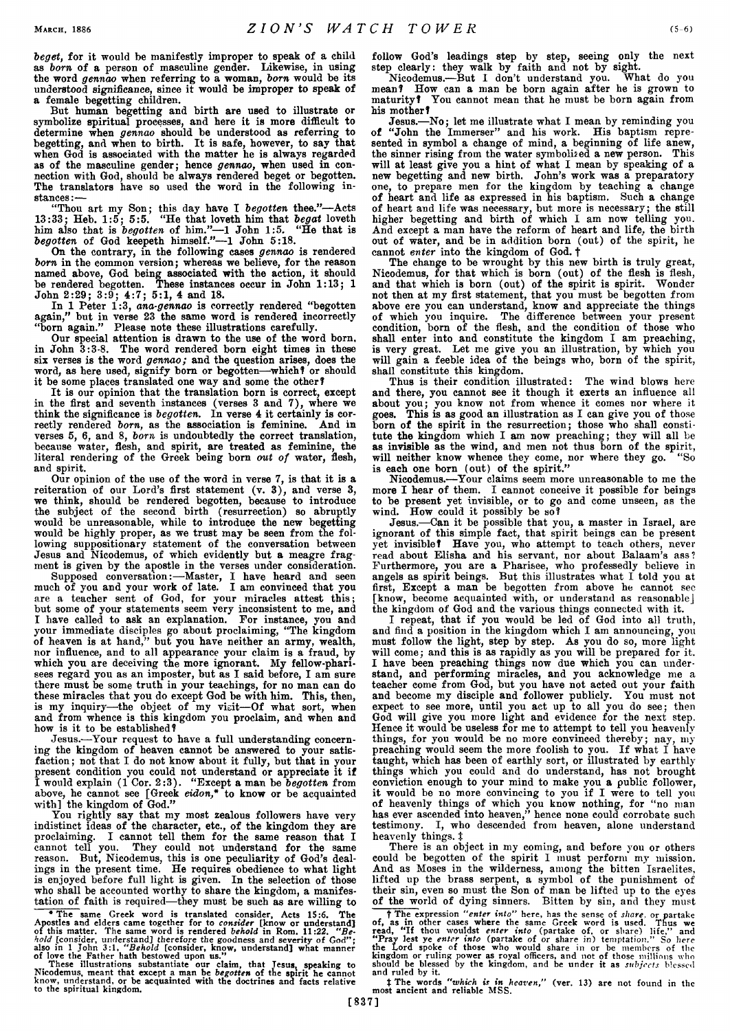*beget,* **for it would be manifestly improper to speak of a child as** *born* **of a person of masculine gender. Likewise, in using the word** *gennao* **when referring to a woman,** *born* **would be its understood significance, since it would be improper to speak of a female begetting children.**

**But human begetting and birth are used to illustrate or symbolize spiritual processes, and here it is more difficult to determine when** *gennao* **should be understood as referring to begetting, and when to birth. It is safe, however, to say that when God is associated with the matter he is always regarded as of the masculine gender; hence** *gennao,* **when used in connection with God, should be always rendered beget or begotten. The translators have so used the word in the following instances:—**

**"Thou art my Son; this day have I** *begotten* **thee."—Acts 13:33; Heb. 1:5; 5:5. "He that loveth him that** *begat* **loveth him also that is** *begotten* **of him."—1 John 1:5. "He that is** *begotten* **of God keepeth himself."—1 John 5:18.**

**On the contrary, in the following cases** *gennao* **is rendered** *born* **in the common version; whereas we believe, for the reason named above, God being associated with the action, it should be rendered begotten. These instances occur in John 1:13; 1 John 2:29; 3:9; 4:7; 5:1, 4 and 18.**

**In 1 Peter 1:3,** *ana-gennao* **is correctly rendered "begotten again," but in verse 23 the same word is rendered incorrectly "born again." Please note these illustrations carefully.**

**Our special attention is drawn to the use of the word born, in John 3:3-8. The word rendered born eight times in these six verses is the word** *gennao;* **and the question arises, does the word, as here used, signify born or begotten—which ? or should it be some places translated one way and some the other?**

**It is our opinion that the translation born is correct, except in the first and seventh instances (verses 3 and 7), where we think the significance is** *begotten.* **In verse 4 it certainly is correctly rendered** *born,* **as the association is feminine. And in verses 5, 6, and 8,** *born* **is undoubtedly the correct translation, because water, flesh, and spirit, are treated as feminine, the literal rendering of the Greek being born** *out of* **water, flesh, and spirit.**

**Our opinion of the use of the word in verse 7, is that it is a reiteration of our Lord's first statement (v. 3), and verse 3, we think, should be rendered begotten, because to introduce the subject of the second birth (resurrection) so abruptly would be unreasonable, while to introduce the new begetting** would be highly proper, as we trust may be seen from the fol**lowing suppositionary statement of the conversation between Jesus and Nicodemus, of which evidently but a meagre fragment is given by the apostle in the verses under consideration.**

**Supposed conversation:—Master, I have heard and seen much of you and your work of late. I am convinced that you are a teacher sent of God, for your miracles attest this; but some of your statements seem very inconsistent to me, and I have called to ask an explanation. For instance, you and your immediate disciples go about proclaiming, "The kingdom of heaven is at hand," but you have neither an army, wealth, nor influence, and to all appearance your claim is a fraud, by which you are deceiving the more ignorant. My fellow-pharisees regard you as an imposter, but as I said before, I am sure there must be some truth in your teachings, for no man can do these miracles that you do except God be with him. This, then, is my inquiry—the object of my visit—Of what sort, when and from whence is this kingdom you proclaim, and when and how is it to be established?**

**Jesus.—Your request to have a full understanding concerning the kingdom of heaven cannot be answered to your satisfaction ; not that I do not know about it fully, but that in your present condition you could not understand or appreciate it if I would explain (1 Cor. 2:3). "Except a man be** *begotten* **from above, he cannot see [Greek** *eidon,\** **to know or be acquainted with] the kingdom of God."**

**You rightly say that my most zealous followers have very indistinct ideas of the character, etc., of the kingdom they are proclaiming. I cannot tell them for the same reason that I cannot tell you. They could not understand for the same reason. But, Nicodemus, this is one peculiarity of God's dealings in the present time. He requires obedience to what light is enjoyed before full light is given. In the selection of those who shall be accounted worthy to share the kingdom, a manifestation of faith is required—they must be such as are willing to**

\* The same Greek word is translated consider, Acts 15:6. The<br>Apostles and elders came together for to *consider* [know or understand]<br>of this matter. The same word is rendered *behold* in Rom. 11:22. "Be-<br>hold [consider, u

**follow God's leadings step by step, seeing only the next step clearly: they walk by faith and not by sight.**

**Nicodemus.—But I don't understand you. What do you mean? How can a man be born again after he is grown to maturity? You cannot mean that he must be born again from his mother?**

**Jesus.—No; let me illustrate what I mean by reminding you of "John the Immerser" and his work. His baptism represented in symbol a change of mind, a beginning of life anew, the sinner rising from the water symbolised a new person. This will at least give you a hint of what I mean by speaking of a new begetting and new birth. John's work was a preparatory one, to prepare men for the kingdom by teaching a change of heart and life as expressed in his baptism. Such a change of heart and life was necessary, but more is necessary; the still higher begetting and birth of which I am now telling you. And except a man have the reform of heart and life, the birth out of water, and be in addition born (out) of the spirit, he cannot** *enter* **into the kingdom of God. t**

**The change to be wrought by this new birth is truly great, Nicodemus, for that which is born (out) of the flesh is flesh, and that which is born (out) of the spirit is spirit. Wonder not then at my first statement, that you must be begotten from above ere you can understand, know and appreciate the things of which you inquire. The difference between your present condition, born of the flesh, and the condition of those who shall enter into and constitute the kingdom I am preaching, is very great. Let me give you an illustration, by which you will gain a feeble idea of the beings who, born of the spirit, shall constitute this kingdom.**

**Thus is their condition illustrated: The wind blows here and there, you cannot see it though it exerts an influence all about you; you know not from whence it comes nor where it goes. This is as good an illustration as I can give you of those born of the spirit in the resurrection; those who shall constitute the kingdom which I am now preaching; they will all be as invisible as the wind, and men not thus born of the spirit, will neither know whence they come, nor where they go. "So is each one born (out) of the spirit."**

**Nicodemus.—Your claims seem more unreasonable to me the more I hear of them. I cannot conceive it possible for beings to be present yet invisible, or to go and come unseen, as the wind. How could it possibly be so?**

**Jesus.—Can it be possible that you, a master in Israel, are ignorant of this simple fact, that spirit beings can be present yet invisible? Have you, who attempt to teach others, never read about Elisha and his servant, nor about Balaam's ass ? Furthermore, you are a Pharisee, who professedly believe in angels as spirit beings. But this illustrates what I told you at first, Except a man be begotten from above he cannot see [know, become acquainted with, or understand as reasonable] the kingdom of God and the various things connected with it.**

**I repeat, that if you would be led of God into all truth, and find a position in the kingdom which I am announcing, you must follow the light, step by step. As you do so, more light will come; and this is as rapidly as you will be prepared for it. I have been preaching things now due which you can understand, and performing miracles, and you acknowledge me a teacher come from God, but you have not acted out your faith and become my disciple and follower publicly. You must not expect to see more, until you act up to all you do see; then God will give you more light and evidence for the next step. Hence it would be useless for me to attempt to tell you heavenly things, for you would be no more convinced thereby; nay, my preaching would seem the more foolish to you. If what I have taught, which has been of earthly sort, or illustrated by earthly things which you could and do understand, has not brought conviction enough to your mind to make you a public follower, it would be no more convincing to you if I were to tell you of heavenly things of which you know nothing, for "no man has ever ascended into heaven," hence none could corrobate such testimony. I, who descended from heaven, alone understand heavenly things, i**

**There is an object in my coming, and before you or others could be begotten of the spirit I must perform my mission. And as Moses in the wilderness, among the bitten Israelites, lifted up the brass serpent, a symbol of the punishment of their sin, even so must the Son of man be lifted up to the eyes of the world of dying sinners. Bitten by sin, and they must †** The expression "enter into" here, has the sense of *share*, or partake of, as in other cases where the same Greek word is used. Thus we read, "If thou wouldst *enter into* (partake of, or share) life," and "Pray lest

**t The words** *"which is in heaven,"* **(ver. 13) are not found in the most ancient and reliable MSS.**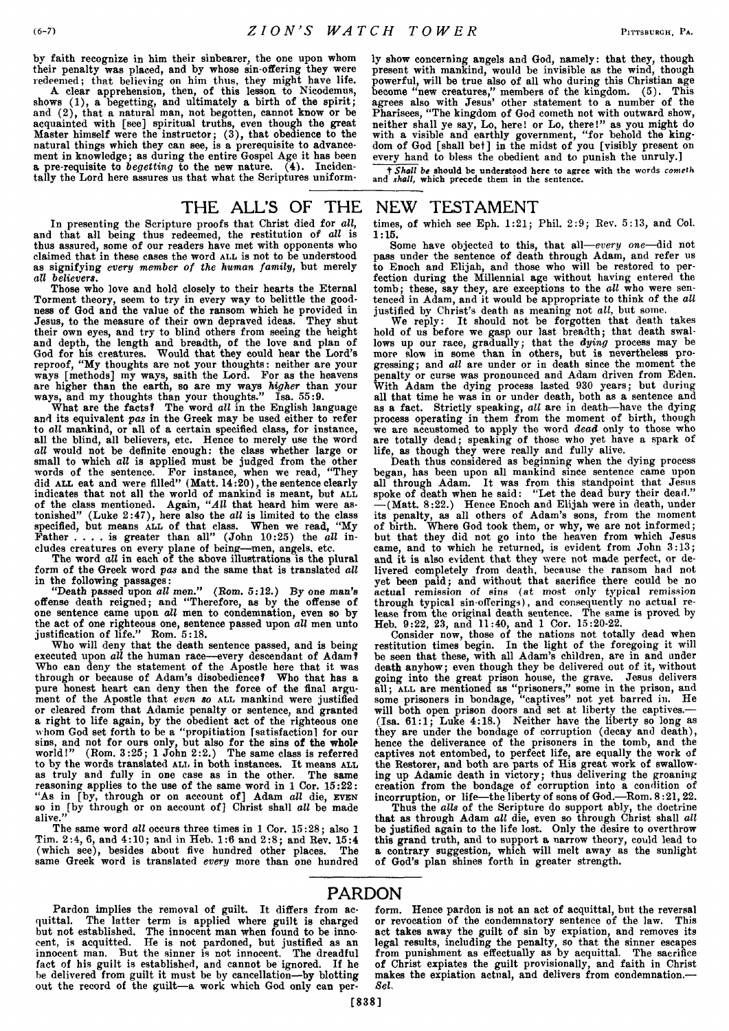**by faith recognize in him their sinbearer, the one upon whom their penalty was placed, and by whose sin-offering they were redeemed; that believing on him thus, they might have life.**

**A clear apprehension, then, of this lesson to Nicodemus, shows (1), a begetting, and ultimately a birth of the spirit; and (2), that a natural man, not begotten, cannot know or be acquainted with [see] spiritual truths, even though the great Master himself were the instructor; (3), that obedience to the natural things which they can see, is a prerequisite to advancement in knowledge; as during the entire Gospel Age it has been a pre-requisite to** *begetting* **to the new nature. (4). Incidentally the Lord here assures us that what the Scriptures uniform-** **ly show concerning angels and God, namely: that they, though present with mankind, would be invisible as the wind, though powerful, will be true also of all who during this Christian age become "new creatures," members of the kingdom. (5). This agrees also with Jesus' other statement to a number of the Pharisees, "The kingdom of God cometh not with outward show, neither shall ye say, Lo, here! or Lo, there!" as you might do with a visible and earthly government, "for behold the kingdom of God [shall bet] in the midst of you [visibly present on every hand to bless the obedient and to punish the unruly.]**

**t** *Shall be* **should be understood here to agree with the words** *cometh* **and** *shall,* **which precede them in the sentence.**

#### THE ALL'S OF THE NEW TESTAMENT

**In presenting the Scripture proofs that Christ died for** *all,* **and that all being thus redeemed, the restitution of** *all* **is thus assured, some of our readers have met with opponents who claimed that in these cases the word all is not to be understood as signifying** *every member of the human family,* **but merely** *all believers.*

**Those who love and hold closely to their hearts the Eternal Torment theory, seem to try in every way to belittle the goodness of God and the value of the ransom which he provided in Jesus, to the measure of their own depraved ideas. They shut their own eyes, and try to blind others from seeing the height and depth, the length and breadth, of the love and plan of God for his creatures. Would that they could hear the Lord's reproof, "My thoughts are not your thoughts: neither are your ways [methods] my ways, saith the Lord. For as the heavens are higher than the earth, so are my ways** *higher* **than your ways, and my thoughts than your thoughts." Isa. 55:9.**

**What are the facts ? The word** *all* **in the English language and its equivalent** *pas* **in the Greek may be used either to refer to** *all* **mankind, or all of a certain specified class, for instance,** all the blind, all believers, etc. Hence to merely use the word all would not be definite enough: the class whether large or *all* **would not be definite enough: the class whether large or small to which** *all* **is applied must be judged from the other words of the sentence. For instance, when we read, "They did all eat and were filled" (Matt. 14:20), the sentence clearly** indicates that not all the world of mankind is meant, but ALL **of the class mentioned. Again,** *"All* **that heard him were astonished" (Luke 2:47), here also the** *all* **is limited to the class specified, but means all of that class. When we read, "My Father .... is greater than all" (John 10:25) the** *all* **includes creatures on every plane of being—men, angels, etc.**

**The word** *all* **in each of the above illustrations is the plural form of the Greek word** *pas* **and the same that is translated** *all* **in the following passages:**

**"Death passed upon** *all men."* **(Bom. 5:12.) By one** *man's* **offense death reigned; and "Therefore, as by the offense of one sentence came upon** *all* **men to condemnation, even so by the act of one righteous one, sentence passed upon** *all* **men unto justification of life." Bom. 5:18.**

**Who will deny that the death sentence passed, and is being executed upon** *all* **the human race—every descendant of Adam? Who can deny the statement of the Apostle here that it was through or because of Adam's disobedience? Who that has a pure honest heart can deny then the force of the final argument of the Apostle that** *even so* **all mankind were justified or cleared from that Adamic penalty or sentence, and granted a right to life again, by the obedient act of the righteous one whom God set forth to be a "propitiation [satisfaction] for our sins, and not for ours only, but also for the sins of the whole world!" (Bom. 3:25; 1 John 2:2.) The same class is referred to by the words translated all in both instances. It means ALL as truly and fully in one case as in the other. The same reasoning applies to the use of the same word in 1 Cor. 15:22: "As in [by, through or on account of] Adam** *all* **die, even so in [by through or on account of] Christ shall** *all* **be made alive."**

**The same word** *all* **occurs three times in 1 Cor. 15:28; also 1 Tim. 2:4, 6, and 4:10; and in Heb. 1:6 and 2:8; and Bev. 15:4 (which see), besides about five hundred other places. The same Greek word is translated** *every* **more than one hundred**

**times, of which see Eph. 1:21; Phil. 2:9; Bev. 5:13, and Col. 1:15.**

**Some have objected to this, that all—***every one***—did not pass under the sentence of death through Adam, and refer us to Enoch and Elijah, and those who will be restored to perfection during the Millennial age without having entered the tomb; these, say they, are exceptions to the** *all* **who were sentenced in Adam, and it would be appropriate to think of the** *all* **justified by Christ's death as meaning not** *all,* **but some.**

**We reply: It should not be forgotten that death takes hold of us before we gasp our last breadth; that death swallows up our race, gradually; that the** *dying* **process may be** more slow in some than in others, but is nevertheless pro-<br>gressing: and all are under or in death since the moment the **gressing; and** *all* **are under or in death since the moment the penalty or curse was pronounced and Adam driven from Eden. With Adam the dying process lasted 930 years; but during all that time he was in or under death, both as a sentence and as a fact. Strictly speaking,** *all* **are in death—have the dying process operating in them from the moment of birth, though we are accustomed to apply the word** *dead* **only to those who are totally dead; speaking of those who yet have a spark of life, as though they were really and fully alive.**

**Death thus considered as beginning when the dying process began, has been upon all mankind since sentence came upon all through Adam. It was from this standpoint that Jesus spoke of death when he said: "Let the dead bury their dead." — (Matt. 8:22.) Hence Enoch and Elijah were in death, under its penalty, as all others of Adam's sons, from the moment of birth. Where God took them, or why, we are not informed; but that they did not go into the heaven from which Jesus came, and to which he returned, is evident from John 3:13; and it is also evident that they were not made perfect, or delivered completely from death, because the ransom had not yet been paid; and without that sacrifice there could be no actual remission of sins (at most only typical remission through typical sin-offerings), and consequently no actual release from the original death sentence. The same is proved by Heb. 9:22, 23, and 11:40, and 1 Cor. 15:20-22.**

**Consider now, those of the nations not totally dead when restitution times begin. In the light of the foregoing it will be seen that these, with all Adam's children, are in and under death anyhow; even though they be delivered out of it, without going into the great prison house, the grave. Jesus delivers all; all are mentioned as "prisoners," some in the prison, and some prisoners in bondage, "captives" not yet barred in. He will both open prison doors and set at liberty the captives.— (Isa. 61:1; Luke 4:18.) Neither have the liberty so long as they are under the bondage of corruption (decay and death), hence the deliverance of the prisoners in the tomb, and the captives not entombed, to perfect life, are equally the work of the Bestorer, and both are parts of His great work of swallowing up Adamic death in victory; thus delivering the groaning creation from the bondage of corruption into a condition of incorruption, or life—the liberty of sons of God.—Bom. 8:21, 22.**

**Thus the** *alls* **of the Scripture do support ably, the doctrine that as through Adam** *all* **die, even so through Christ shall** *all* **be justified again to the life lost. Only the desire to overthrow this grand truth, and to support a narrow theory, could lead to a contrary suggestion, which will melt away as the sunlight of God's plan shines forth in greater strength.**

### PARDON

Pardon implies the removal of guilt. It differs from ac**quittal. The latter term is applied where guilt is charged but not established. The innocent man when found to be innocent, is acquitted. He is not pardoned, but justified as an innocent man. But the sinner is not innocent. The dreadful fact of his guilt is established, and cannot be ignored. If he be delivered from guilt it must be by cancellation—by blotting out the record of the guilt—a work which God only can per-** **form. Hence pardon is not an act of acquittal, but the reversal** or revocation of the condemnatory sentence of the law. **act takes away the guilt of sin by expiation, and removes its legal results, including the penalty, so that the sinner escapes from punishment as effectually as by acquittal. The sacrifice of Christ expiates the guilt provisionally, and faith in Christ makes the expiation actual, and delivers from condemnation.—** *SeL*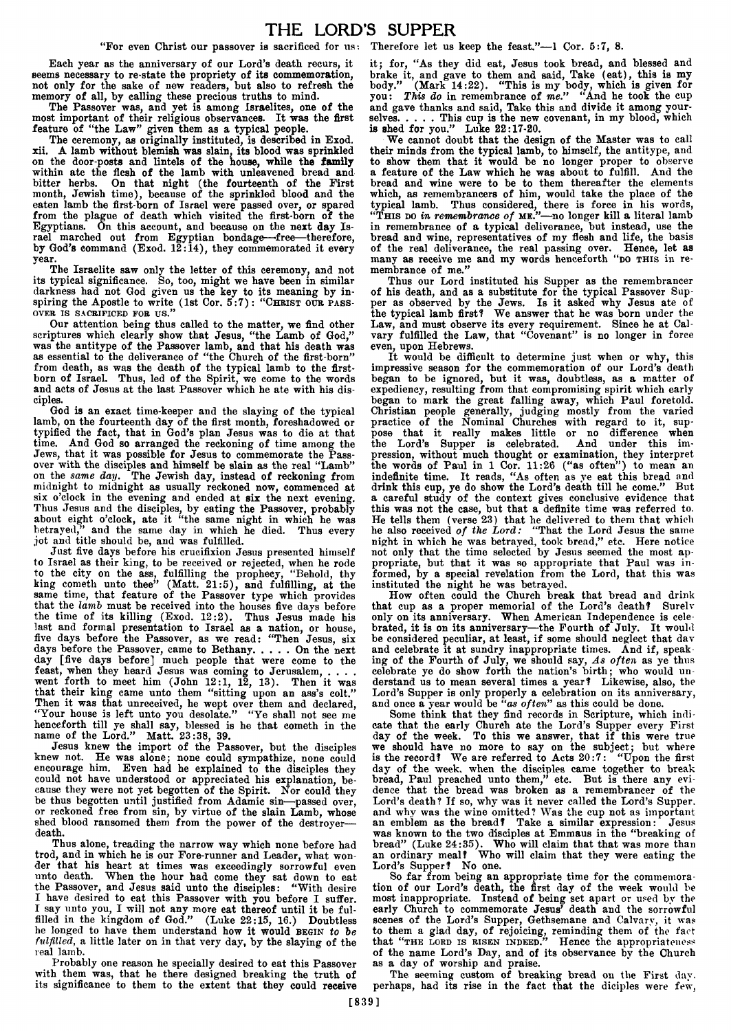"For even Christ our passover is sacrificed for us: Therefore let us keep the feast."-1 Cor. 5:7, 8.

**Each year as the anniversary of our Lord's death recurs, it seems necessary to re-state the propriety of its commemoration, not only for the sake of new readers, but also to refresh the memory of all, by calling these precious truths to mind.**

**The Passover was, and yet is among Israelites, one of the most important of their religious observances. It was the first feature of "the Law" given them as a typical people.**

**The ceremony, as originally instituted, is described in Exod. xii. A lamb without blemish was slain, its blood was sprinkled on the door-posts and lintels of the house, while the family within ate the flesh of the lamb with unleavened bread and bitter herbs. On that night (the fourteenth of the First month, Jewish time), because of the sprinkled blood and the eaten lamb the first-born of Israel were passed over, or spared from the plague of death which visited the first-born of the Egyptians. On this account, and because on the next day Israel marched out from Egyptian bondage—'free—therefore, by God's command (Exod. 12:14), they commemorated it every year.**

**The Israelite saw only the letter of this ceremony, and not its typical significance. So, too, might we have been in similar darkness had not God given us the key to its meaning by in**spiring the Apostle to write (1st Cor. 5:7): "CHRIST OUR PASSover IS SACRIFICED FOR US."

**Our attention being thus called to the matter, we find other scriptures which clearly show that Jesus, "the Lamb of God," was the antitype of the Passover lamb, and that his death was as essential to the deliverance of "the Church of the first-born" from death, as was the death of the typical lamb to the firstborn of Israel. Thus, led of the Spirit, we come to the words and acts of Jesus at the last Passover which he ate with his disciples.**

**God is an exact time-keeper and the slaying of the typical lamb, on the fourteenth day of the first month, foreshadowed or typified the fact, that in God's plan Jesus was to die at that time. And God so arranged the reckoning of time among the Jews, that it was possible for Jesus to commemorate the Passover with the disciples and himself be slain as the real "Lamb" on the** *same day.* **The Jewish day, instead of reckoning from midnight to midnight as usually reckoned now, commenced at six o'clock in the evening and ended at six the next evening. Thus Jesus and the disciples, by eating the Passover, probably about eight o'clock, ate it "the same night in which he was betrayed," and the same day in which he died. Thus every jot and title should be, and was fulfilled.**

**Just five days before his crucifixion Jesus presented himself to Israel as their king, to be received or rejected, when he rode to the city on the ass, fulfilling the prophecy, "Behold, thy king cometh unto thee" (Matt. 21:5), and fulfilling, at the same time, that feature of the Passover type which provides that the** *lamb* **must be received into the houses five days before the time of its killing (Exod. 12:2). Thus Jesus made his last and formal presentation to Israel as a nation, or house, five days before the Passover, as we read: "Then Jesus, six** days before the Passover, came to Bethany. . . . . On the nex **day [five days before] much people that were come to the feast, when they heard Jesus was coming to Jerusalem, . . . . went forth to meet him (John 12:1, 12, 13). Then it was that their king came unto them "sitting upon an ass's colt." Then it was that unreceived, he wept over them and declared, "Your house is left unto you desolate." "Ye shall not see me henceforth till ye shall say, blessed is he that cometh in the name of the Lord." Matt. 23:38, 39.**

**Jesus knew the import of the Passover, but the disciples knew not. He was alone; none could sympathize, none could encourage him. Even had he explained to the disciples they could not have understood or appreciated his explanation, because they were not yet begotten of the Spirit. Nor could they be thus begotten until justified from Adamic sin—passed over, or reckoned free from sin, by virtue of the slain Lamb, whose shed blood ransomed them from the power of the destroyer death.**

**Thus alone, treading the narrow way which none before had trod, and in which he is our Fore-runner and Leader, what wonder that his heart at times was exceedingly sorrowful even unto death. When the hour had come they sat down to eat the Passover, and Jesus said unto the disciples: "With desire I have desired to eat this Passover with you before I suffer. I say unto you, I will not any more eat thereof until it be fulfilled in the kingdom of God." (Luke 22:15, 16.) Doubtless he longed to have them understand how** it **would** begin *to be fulfilled,* **a little later on in that very day, by the slaying of the real lamb.**

**Probably one reason he specially desired to eat this Passover with them was, that he there designed breaking the truth of its significance to them to the extent that they could receive**

**it; for, "As they did eat, Jesus took bread, and blessed and brake it, and gave to them and said, Take (eat), this is my body." (Mark 14:22). "This is my body, which is given for you:** *This do* **in remembrance of** *me."* **"And he took the cup and gave thanks and said, Take this and divide it among your**selves.....This cup is the new covenant, in my blood, which **is shed for you." Luke 22:17-20.**

**We cannot doubt that the design of the Master was to** call **their minds from the typical lamb, to himself, the antitype, and to show them that it would be no longer proper to** observe **a feature of the Law which he was about to fulfill. And the bread and wine were to be to them thereafter the elements which, as remembrancers of him, would take the place of the typical lamb. Thus considered, there is force in his** words, "This do *in remembrance of* me."**—no longer kill a literal lamb in remembrance of a typical deliverance, but instead, use the bread and wine, representatives of my flesh and life, the** basis **of the real deliverance, the real passing over. Hence, let as** many as receive me and my words henceforth "po THIS in re**membrance of me."**

**Thus our Lord instituted his Supper as the remembrancer of his death, and as a substitute for the typical Passover Supper as observed by the Jews. Is it asked why Jesus ate of the typical lamb first? We answer that he was born under the** Law, and must observe its every requirement. Since he at Cal**vary fulfilled the Law, that "Covenant" is no longer in force even, upon Hebrews.**

**It would be difficult to determine just when or why, this impressive season for the commemoration of our Lord's death began to be ignored, but it was, doubtless, as a matter of expediency, resulting from that compromising spirit which early began to mark the great falling away, which Paul foretold. Christian people generally, judging mostly from the varied practice of the Nominal Churches with regard to it, suppose that it really makes little or no difference when the Lord's Supper is celebrated. And under this impression, without much thought or examination, they interpret the words of Paul in 1 Cor. 11:26 ("as often") to mean an indefinite time. It reads, "As often as ye eat this bread and drink this cup, ye do show the Lord's death till he come." But a careful study of the context gives conclusive evidence that this was not the case, but that a definite time was referred to. He tells them (verse 23) that he delivered to them that which he also received** *of the Lord:* **"That the Lord Jesus the same night in which he was betrayed, took bread," etc. Here notice not only that the time selected by Jesus seemed the most appropriate, but that it was so appropriate that Paul was informed, by a special revelation from the Lord, that this was instituted the night he was betrayed.**

**How often could the Church break that bread and drink that cup as a proper memorial of the Lord's death? Surelv only on its anniversary. When American Independence is celebrated, it is on its anniversary—the Fourth of July. It would be considered peculiar, at least, if some should neglect that dav and celebrate it at sundry inappropriate times. And if, speaking of the Fourth of July, we should say,** *As often* **as ye thus celebrate ye do show forth the nation's birth; who would understand us to mean several times a year? Likewise, also, the Lord's Supper is only properly a celebration on its anniversary, and once a year would be** *"as often"* **as this could be done.**

**Some think that they find records in Scripture, which indicate that the early Church ate the Lord's Supper every First day of the week. To this we answer, that if this were true we should have no more to say on the subject; but where is the record? We are referred to Acts 20:7: "Upon the first day of the week, when the disciples came together to break bread, Paul preached unto them," etc. But is there any evidence that the bread was broken as a remembrancer of the Lord's death? If so, why was it never called the Lord's Supper, and why was the wine omitted? Was the cup not as important an emblem as the bread? Take a similar expression: Jesus was known to the two disciples at Emmaus in the "breaking of bread" (Luke 24:35). Who will claim that that was more than an ordinary meal? Who will claim that they were eating the Lord's Supper? No one.**

**So far from being an appropriate time for the commemoration of our Lord's death, the first day of the week would be most inappropriate. Instead of being set apart or used by the early Church to commemorate Jesus' death and the sorrowful scenes of the Lord's Supper, Gethsemane and Calvary, it was to them a glad day, of rejoicing, reminding them of the fact that** "the lord is risen indeed." **Hence the appropriateness of the name Lord's Day, and of its observance bv the Church as a day of worship and praise.**

**The seeming custom of breaking bread on the First day. perhaps, had its rise in the fact that the diciples were few,**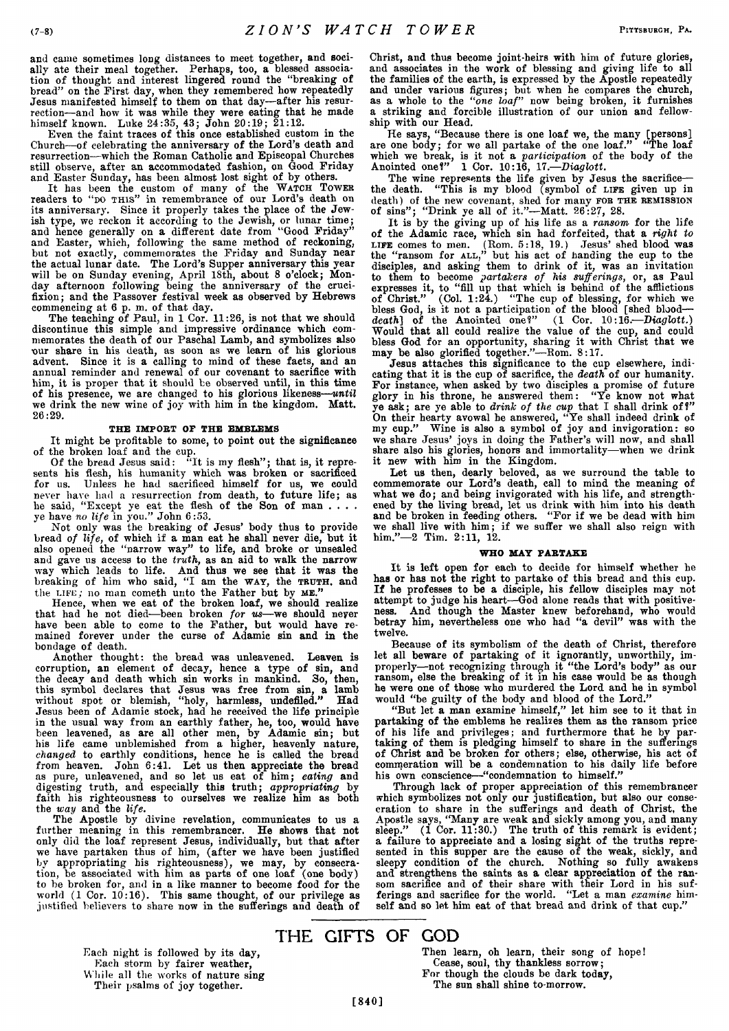**and came sometimes long distances to meet together, and socially ate their meal together. Perhaps, too, a blessed association of thought and interest lingered round the "breaking of bread" on the First day, when they remembered how repeatedly Jesus manifested himself to them on that day—after his resurrection—and how it was while they were eating that he made himself known. Luke 24:35, 43; John 20:19; 21:12.**

**Even the faint traces of this once established custom in the Church—of celebrating the anniversary of the Lord's death and resurrection—which the Roman Catholic and Episcopal Churches still observe, after an accommodated fashion, on Good Friday and Easter Sunday, has been almost lost sight of by others.**

It has been the custom of many of the WATCH TOWER **readers to "do t h is" in remembrance of our Lord's death on its anniversary. Since it properly takes the place of the Jewish type, we reckon it according to the Jewish, or lunar time; and hence generally on a different date from "Good Friday" and Easter, which, following the same method of reckoning, but not exactly, commemorates the Friday and Sunday near the actual lunar date. The Lord's Supper anniversary this year will be on Sunday evening, April 18th, about 8 o'clock; Monday afternoon following being the anniversary of the crucifixion; and the Passover festival week as observed by Hebrews commencing at 6 p. m. of that day.**

**The teaching of Paul, in 1 Cor. 11:26, is not that we should discontinue this simple and impressive ordinance which commemorates the death of our Paschal Lamb, and symbolizes also our share in his death, as soon as we learn of his glorious advent. Since it is a calling to mind of these facts, and an annual reminder and renewal of our covenant to sacrifice with him, it is proper that it should be observed until, in this time of his presence, we are changed to his glorious likeness—***until* **we drink the new wine of joy with him in the kingdom. Matt. 26:29.**

#### THE IMPORT OF THE EMBLEMS

**It might be profitable to some, to point out the significance of the broken loaf and the cup.**

Of the bread Jesus said: "It is my flesh"; that is, it repre**sents his flesh, his humanity which was broken or sacrificed for us. Unless he had sacrificed himself for us, we could never have had a resurrection from death, to future life; as he said, "Except ye eat the flesh of the Son of man .... ye have** *no life* **in you." John 6:53.**

**Not only was the breaking of Jesus' body thus to provide bread** *of life,* **of which if a man eat he shall never die, but it also opened the "narrow way" to life, and broke or unsealed and gave us access to the** *truth,* **as an aid to walk the narrow way which leads to life. And thus we see that it was the breaking of him who said, "I am the w ay, the TRUTH, and the l if e; no man cometh unto the Father but by m e."**

**Hence, when we eat of the broken loaf, we should realize that had he not died—been broken** *for us***—we should never have been able to come to the Father, but would have remained forever under the curse of Adamic sin and in the bondage of death.**

**Another thought: the bread was unleavened. Leaven is corruption, an element of decay, hence a type of sin, and the decay and death which sin works in mankind. 3o, then, this symbol declares that Jesus was free from sin, a lamb without spot or blemish, "holy, harmless, undefiled." Had Jesus been of Adamic stock, had he received the life principle in the usual way from an earthly father, he, too, would have been leavened, as are all other men, by Adamic sin; but his life came unblemished from a higher, heavenly nature,** *changed* **to earthly conditions, hence he is called the bread from heaven. John 6:41. Let us then appreciate the bread as pure, unleavened, and so let us eat of him;** *eating* **and digesting truth, and especially this truth;** *appropriating* **by faith his righteousness to ourselves we realize him as both the** *way* **and the** *life.*

**The Apostle by divine revelation, communicates to us a further meaning in this remembrancer. He shows that not only did the loaf represent Jesus, individually, but that after we have partaken thus of him, (after we have been justified by appropriating his righteousness), we may, by consecration, be associated with him as parts of one loaf (one body) to be broken for, and in a like manner to become food for the world (1 Cor. 10:16). This same thought, of our privilege as justified believers to share now in the sufferings and death of**

**Christ, and thus become joint-heirs with him of future glories, and associates in the work of blessing and giving life to all the families of the earth, is expressed by the Apostle repeatedly and under various figures; but when he compares the church, as a whole to the** *"one loaf"* **now being broken, it furnishes a striking and forcible illustration of our union and fellowship with our Head.**

**He says, "Because there is one loaf we, the many [persons] are one body; for we all partake of the one loaf." "The loaf which we break, is it not a** *participation* **of the body of the Anointed one!" 1 Cor. 10:16, 17.—***Diaglott.*

**The wine represents the life given by Jesus the sacrifice the death. "This is my blood (symbol of life given up in death) of the new covenant, shed for many FOR THE rem ission of sins" ; "Drink ye all of it."—Matt. 26:27, 28.**

**It is by the giving up of his life as a** *ransom* **for the life of the Adamic race, which sin had forfeited, that a** *right to* **life comes to men. (Rom. 5:18, 19.) Jesus' shed blood was the "ransom for all," but his act of handing the cup to the disciples, and asking them to drink of it, was an invitation to them to become** *partakers of his sufferings,* **or, as Paul expresses it, to "fill up that which is behind of the afflictions of Christ." (Col. 1:24.) "The cup of blessing, for which we bless God, is it not a participation of the blood [shed blood** *death]* **of the Anointed one!" (1 Cor. 10:16.—***Diaglott.)* **Would that all could realize the value of the cup, and could bless God for an opportunity, sharing it with Christ that we may be also glorified together."—Rom. 8:17.**

**Jesus attaches this significance to the cup elsewhere, indicating that it is the cup of sacrifice, the** *death* **of our humanity. For instance, when asked by two disciples a promise of future glory in his throne, he answered them: "Ye know not what ye ask; are ye able to** *drink of the cup* **that I shall drink of?" On their hearty avowal he answered, "Ye shall indeed drink of my cup." Wine is also a symbol of joy and invigoration: so we share Jesus' joys in doing the Father's will now, and shall share also his glories, honors and immortality—when we drink it new with him in the Kingdom.**

**Let us then, dearly beloved, as we surround the table to commemorate our Lord's death, call to mind the meaning of what we do; and being invigorated with his life, and strengthened by the living bread, let us drink with him into his death and be broken in feeding others. "For if we be dead with him we shall live with him; if we suffer we shall also reign with him."—2 Tim. 2:11, 12.**

### WHO MAY PARTAKE

**It is left open for each to deeide for himself whether he has or has not the right to partake of this bread and this cup.** If he professes to be a disciple, his fellow disciples may not **attempt to judge his heart—God alone reads that with positiveness. And though the Master knew beforehand, who would betray him, nevertheless one who had "a devil" was with the twelve.**

**Because of its symbolism of the death of Christ, therefore let all beware of partaking of it ignorantly, unworthily, improperly—not recognizing through it "the Lord's body" as our ransom, else the breaking of it in his case would be as though he were one of those who murdered the Lord and he in symbol would "be guilty of the body and blood of the Lord."**

**"But let a man examine himself," let him see to it that in partaking of the emblems he realizes them as the ransom price** of his life and privileges; and furthermore that he by par**taking of them is pledging himself to share in the sufferings of Christ and be broken for others; else, otherwise, his act of commeration will be a condemnation to his daily life before his own conscience—"condemnation to himself."**

**Through lack of proper appreciation of this remembrancer which symbolizes not only our justification, but also our consecration to share in the sufferings and death of Christ, the Apostle says, "Many are weak and sickly among you, and many sleep." (1 Cor. 11:30.) The truth of this remark is evident; a failure to appreciate and a losing sight of the truths represented in this supper are the cause of the weak, sickly, and sleepy condition of the church. Nothing so fully awakens and strengthens the saints as a clear appreciation of the ransom sacrifice and of their share with their Lord in his sufferings and sacrifice for the world. "Let a man** *examine* **himself and so let him eat of that bread and drink of that cup."**

# THE GIFTS OF GOD

**Each night is followed by its day, Each storm by fairer weather, While all the works of nature sing Their psalms of joy together.**

**Then learn, oh learn, their song of hope! Cease, soul, thy thankless sorrow; For though the clouds be dark today, The sun shall shine to-morrow.**